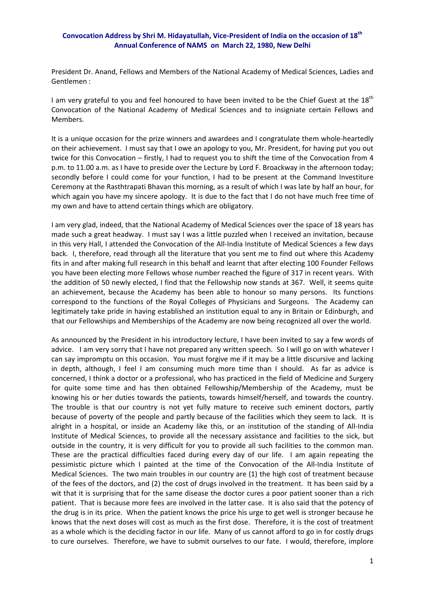## **Convocation Address by Shri M. Hidayatullah, Vice‐President of India on the occasion of 18th Annual Conference of NAMS on March 22, 1980, New Delhi**

President Dr. Anand, Fellows and Members of the National Academy of Medical Sciences, Ladies and Gentlemen :

I am very grateful to you and feel honoured to have been invited to be the Chief Guest at the  $18<sup>th</sup>$ Convocation of the National Academy of Medical Sciences and to insigniate certain Fellows and Members.

It is a unique occasion for the prize winners and awardees and I congratulate them whole-heartedly on their achievement. I must say that I owe an apology to you, Mr. President, for having put you out twice for this Convocation – firstly, I had to request you to shift the time of the Convocation from 4 p.m. to 11.00 a.m. as I have to preside over the Lecture by Lord F. Broackway in the afternoon today; secondly before I could come for your function, I had to be present at the Command Investiture Ceremony at the Rasthtrapati Bhavan this morning, as a result of which I was late by half an hour, for which again you have my sincere apology. It is due to the fact that I do not have much free time of my own and have to attend certain things which are obligatory.

I am very glad, indeed, that the National Academy of Medical Sciences over the space of 18 years has made such a great headway. I must say I was a little puzzled when I received an invitation, because in this very Hall, I attended the Convocation of the All‐India Institute of Medical Sciences a few days back. I, therefore, read through all the literature that you sent me to find out where this Academy fits in and after making full research in this behalf and learnt that after electing 100 Founder Fellows you have been electing more Fellows whose number reached the figure of 317 in recent years. With the addition of 50 newly elected, I find that the Fellowship now stands at 367. Well, it seems quite an achievement, because the Academy has been able to honour so many persons. Its functions correspond to the functions of the Royal Colleges of Physicians and Surgeons. The Academy can legitimately take pride in having established an institution equal to any in Britain or Edinburgh, and that our Fellowships and Memberships of the Academy are now being recognized all over the world.

As announced by the President in his introductory lecture, I have been invited to say a few words of advice. I am very sorry that I have not prepared any written speech. So I will go on with whatever I can say impromptu on this occasion. You must forgive me if it may be a little discursive and lacking in depth, although, I feel I am consuming much more time than I should. As far as advice is concerned, I think a doctor or a professional, who has practiced in the field of Medicine and Surgery for quite some time and has then obtained Fellowship/Membership of the Academy, must be knowing his or her duties towards the patients, towards himself/herself, and towards the country. The trouble is that our country is not yet fully mature to receive such eminent doctors, partly because of poverty of the people and partly because of the facilities which they seem to lack. It is alright in a hospital, or inside an Academy like this, or an institution of the standing of All‐India Institute of Medical Sciences, to provide all the necessary assistance and facilities to the sick, but outside in the country, it is very difficult for you to provide all such facilities to the common man. These are the practical difficulties faced during every day of our life. I am again repeating the pessimistic picture which I painted at the time of the Convocation of the All-India Institute of Medical Sciences. The two main troubles in our country are (1) the high cost of treatment because of the fees of the doctors, and (2) the cost of drugs involved in the treatment. It has been said by a wit that it is surprising that for the same disease the doctor cures a poor patient sooner than a rich patient. That is because more fees are involved in the latter case. It is also said that the potency of the drug is in its price. When the patient knows the price his urge to get well is stronger because he knows that the next doses will cost as much as the first dose. Therefore, it is the cost of treatment as a whole which is the deciding factor in our life. Many of us cannot afford to go in for costly drugs to cure ourselves. Therefore, we have to submit ourselves to our fate. I would, therefore, implore